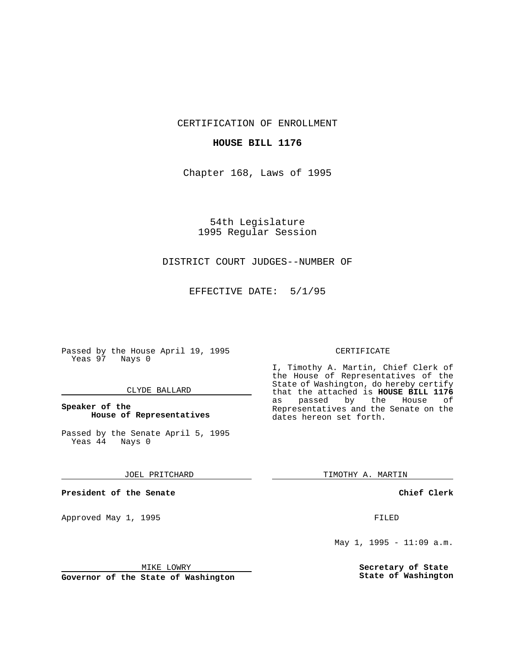CERTIFICATION OF ENROLLMENT

# **HOUSE BILL 1176**

Chapter 168, Laws of 1995

54th Legislature 1995 Regular Session

# DISTRICT COURT JUDGES--NUMBER OF

EFFECTIVE DATE: 5/1/95

Passed by the House April 19, 1995 Yeas 97 Nays 0

## CLYDE BALLARD

# **Speaker of the House of Representatives**

Passed by the Senate April 5, 1995<br>Yeas 44 Nays 0  $Yeas$  44

#### JOEL PRITCHARD

**President of the Senate**

Approved May 1, 1995 **FILED** 

## MIKE LOWRY

**Governor of the State of Washington**

#### CERTIFICATE

I, Timothy A. Martin, Chief Clerk of the House of Representatives of the State of Washington, do hereby certify that the attached is **HOUSE BILL 1176**<br>as passed by the House of as passed by the House of Representatives and the Senate on the dates hereon set forth.

TIMOTHY A. MARTIN

## **Chief Clerk**

May 1, 1995 - 11:09 a.m.

**Secretary of State State of Washington**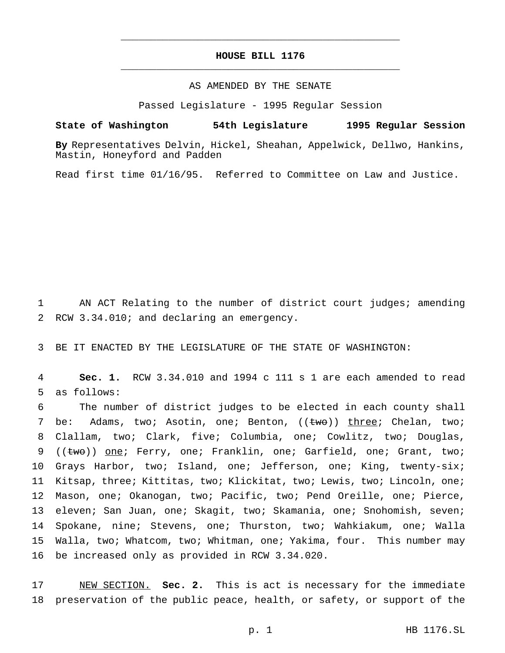# **HOUSE BILL 1176** \_\_\_\_\_\_\_\_\_\_\_\_\_\_\_\_\_\_\_\_\_\_\_\_\_\_\_\_\_\_\_\_\_\_\_\_\_\_\_\_\_\_\_\_\_\_\_

\_\_\_\_\_\_\_\_\_\_\_\_\_\_\_\_\_\_\_\_\_\_\_\_\_\_\_\_\_\_\_\_\_\_\_\_\_\_\_\_\_\_\_\_\_\_\_

## AS AMENDED BY THE SENATE

Passed Legislature - 1995 Regular Session

#### **State of Washington 54th Legislature 1995 Regular Session**

**By** Representatives Delvin, Hickel, Sheahan, Appelwick, Dellwo, Hankins, Mastin, Honeyford and Padden

Read first time 01/16/95. Referred to Committee on Law and Justice.

1 AN ACT Relating to the number of district court judges; amending 2 RCW 3.34.010; and declaring an emergency.

3 BE IT ENACTED BY THE LEGISLATURE OF THE STATE OF WASHINGTON:

4 **Sec. 1.** RCW 3.34.010 and 1994 c 111 s 1 are each amended to read 5 as follows:

 The number of district judges to be elected in each county shall 7 be: Adams, two; Asotin, one; Benton, ((two)) three; Chelan, two; Clallam, two; Clark, five; Columbia, one; Cowlitz, two; Douglas, 9 ((two)) one; Ferry, one; Franklin, one; Garfield, one; Grant, two; 10 Grays Harbor, two; Island, one; Jefferson, one; King, twenty-six; Kitsap, three; Kittitas, two; Klickitat, two; Lewis, two; Lincoln, one; Mason, one; Okanogan, two; Pacific, two; Pend Oreille, one; Pierce, 13 eleven; San Juan, one; Skagit, two; Skamania, one; Snohomish, seven; Spokane, nine; Stevens, one; Thurston, two; Wahkiakum, one; Walla Walla, two; Whatcom, two; Whitman, one; Yakima, four. This number may be increased only as provided in RCW 3.34.020.

17 NEW SECTION. **Sec. 2.** This is act is necessary for the immediate 18 preservation of the public peace, health, or safety, or support of the